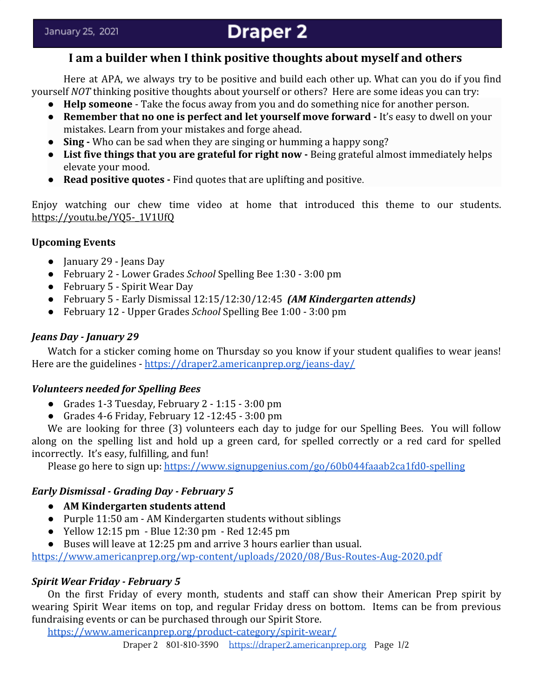# **Draper 2**

# **I am a builder when I think positive thoughts about myself and others**

Here at APA, we always try to be positive and build each other up. What can you do if you find yourself *NOT* thinking positive thoughts about yourself or others? Here are some ideas you can try:

- **Help someone** Take the focus away from you and do something nice for another person.
- **Remember that no one is perfect and let yourself move forward** It's easy to dwell on your mistakes. Learn from your mistakes and forge ahead.
- **Sing** Who can be sad when they are singing or humming a happy song?
- List five things that you are grateful for right now Being grateful almost immediately helps elevate your mood.
- **Read positive quotes** Find quotes that are uplifting and positive.

Enjoy watching our chew time video at home that introduced this theme to our students. [https://youtu.be/YQ5-\\_1V1UfQ](https://youtu.be/YQ5-_1V1UfQ)

#### **Upcoming Events**

- January 29 Jeans Day
- February 2 Lower Grades *School* Spelling Bee 1:30 3:00 pm
- February 5 Spirit Wear Day
- February 5 Early Dismissal 12:15/12:30/12:45 *(AM Kindergarten attends)*
- February 12 Upper Grades *School* Spelling Bee 1:00 3:00 pm

#### *Jeans Day - January 29*

Watch for a sticker coming home on Thursday so you know if your student qualifies to wear jeans! Here are the guidelines - <https://draper2.americanprep.org/jeans-day/>

## *Volunteers needed for Spelling Bees*

- Grades 1-3 Tuesday, February 2 1:15 3:00 pm
- Grades 4-6 Friday, February 12 -12:45 3:00 pm

We are looking for three (3) volunteers each day to judge for our Spelling Bees. You will follow along on the spelling list and hold up a green card, for spelled correctly or a red card for spelled incorrectly. It's easy, fulfilling, and fun!

Please go here to sign up:<https://www.signupgenius.com/go/60b044faaab2ca1fd0-spelling>

## *Early Dismissal - Grading Day - February 5*

- **● AM Kindergarten students attend**
- Purple 11:50 am AM Kindergarten students without siblings
- Yellow 12:15 pm Blue 12:30 pm Red 12:45 pm
- Buses will leave at 12:25 pm and arrive 3 hours earlier than usual.

<https://www.americanprep.org/wp-content/uploads/2020/08/Bus-Routes-Aug-2020.pdf>

## *Spirit Wear Friday - February 5*

On the first Friday of every month, students and staff can show their American Prep spirit by wearing Spirit Wear items on top, and regular Friday dress on bottom. Items can be from previous fundraising events or can be purchased through our Spirit Store.

<https://www.americanprep.org/product-category/spirit-wear/>